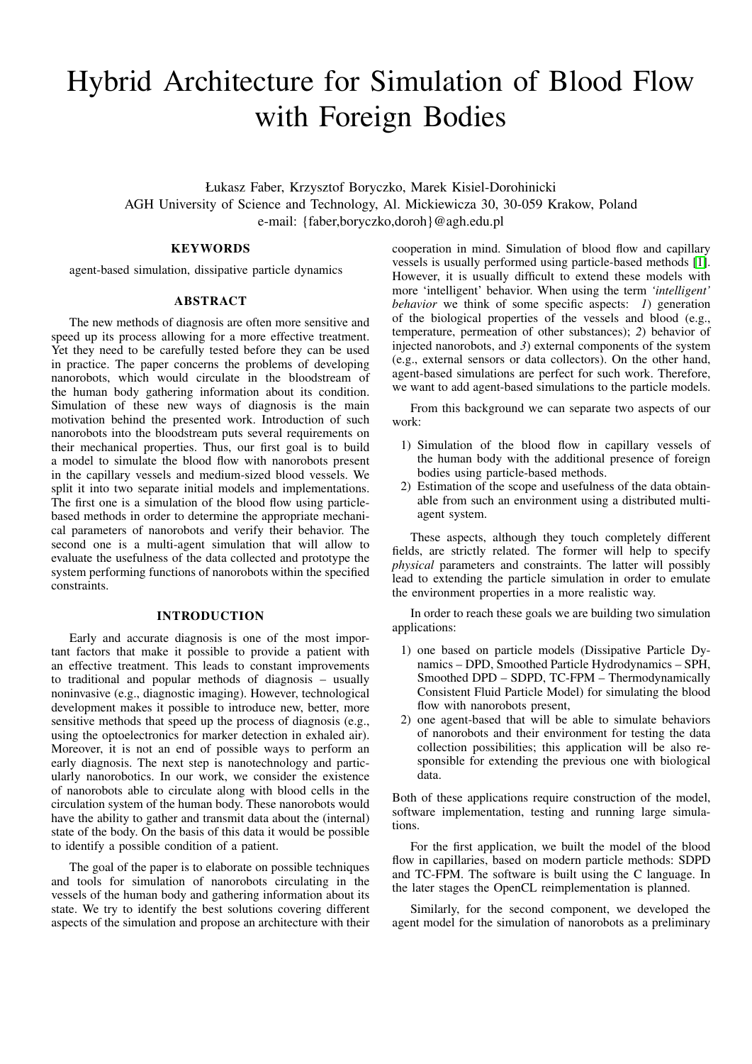# Hybrid Architecture for Simulation of Blood Flow with Foreign Bodies

Łukasz Faber, Krzysztof Boryczko, Marek Kisiel-Dorohinicki AGH University of Science and Technology, Al. Mickiewicza 30, 30-059 Krakow, Poland e-mail: {faber,boryczko,doroh}@agh.edu.pl

## **KEYWORDS**

agent-based simulation, dissipative particle dynamics

#### ABSTRACT

The new methods of diagnosis are often more sensitive and speed up its process allowing for a more effective treatment. Yet they need to be carefully tested before they can be used in practice. The paper concerns the problems of developing nanorobots, which would circulate in the bloodstream of the human body gathering information about its condition. Simulation of these new ways of diagnosis is the main motivation behind the presented work. Introduction of such nanorobots into the bloodstream puts several requirements on their mechanical properties. Thus, our first goal is to build a model to simulate the blood flow with nanorobots present in the capillary vessels and medium-sized blood vessels. We split it into two separate initial models and implementations. The first one is a simulation of the blood flow using particlebased methods in order to determine the appropriate mechanical parameters of nanorobots and verify their behavior. The second one is a multi-agent simulation that will allow to evaluate the usefulness of the data collected and prototype the system performing functions of nanorobots within the specified constraints.

### INTRODUCTION

Early and accurate diagnosis is one of the most important factors that make it possible to provide a patient with an effective treatment. This leads to constant improvements to traditional and popular methods of diagnosis – usually noninvasive (e.g., diagnostic imaging). However, technological development makes it possible to introduce new, better, more sensitive methods that speed up the process of diagnosis (e.g., using the optoelectronics for marker detection in exhaled air). Moreover, it is not an end of possible ways to perform an early diagnosis. The next step is nanotechnology and particularly nanorobotics. In our work, we consider the existence of nanorobots able to circulate along with blood cells in the circulation system of the human body. These nanorobots would have the ability to gather and transmit data about the (internal) state of the body. On the basis of this data it would be possible to identify a possible condition of a patient.

The goal of the paper is to elaborate on possible techniques and tools for simulation of nanorobots circulating in the vessels of the human body and gathering information about its state. We try to identify the best solutions covering different aspects of the simulation and propose an architecture with their

cooperation in mind. Simulation of blood flow and capillary vessels is usually performed using particle-based methods [\[1\]](#page-6-0). However, it is usually difficult to extend these models with more 'intelligent' behavior. When using the term *'intelligent' behavior* we think of some specific aspects: *1*) generation of the biological properties of the vessels and blood (e.g., temperature, permeation of other substances); *2*) behavior of injected nanorobots, and *3*) external components of the system (e.g., external sensors or data collectors). On the other hand, agent-based simulations are perfect for such work. Therefore, we want to add agent-based simulations to the particle models.

From this background we can separate two aspects of our work:

- 1) Simulation of the blood flow in capillary vessels of the human body with the additional presence of foreign bodies using particle-based methods.
- 2) Estimation of the scope and usefulness of the data obtainable from such an environment using a distributed multiagent system.

These aspects, although they touch completely different fields, are strictly related. The former will help to specify *physical* parameters and constraints. The latter will possibly lead to extending the particle simulation in order to emulate the environment properties in a more realistic way.

In order to reach these goals we are building two simulation applications:

- 1) one based on particle models (Dissipative Particle Dynamics – DPD, Smoothed Particle Hydrodynamics – SPH, Smoothed DPD – SDPD, TC-FPM – Thermodynamically Consistent Fluid Particle Model) for simulating the blood flow with nanorobots present,
- 2) one agent-based that will be able to simulate behaviors of nanorobots and their environment for testing the data collection possibilities; this application will be also responsible for extending the previous one with biological data.

Both of these applications require construction of the model, software implementation, testing and running large simulations.

For the first application, we built the model of the blood flow in capillaries, based on modern particle methods: SDPD and TC-FPM. The software is built using the C language. In the later stages the OpenCL reimplementation is planned.

Similarly, for the second component, we developed the agent model for the simulation of nanorobots as a preliminary

Proceedings 28th European Conference on Modelling and Simulation ©ECMS Flaminio Squazzoni, Fabio Baronio, Claudia Archetti, Marco Castellani (Editors) ISBN: 978-0-9564944-8-1 / ISBN: 978-0-9564944-9-8 (CD)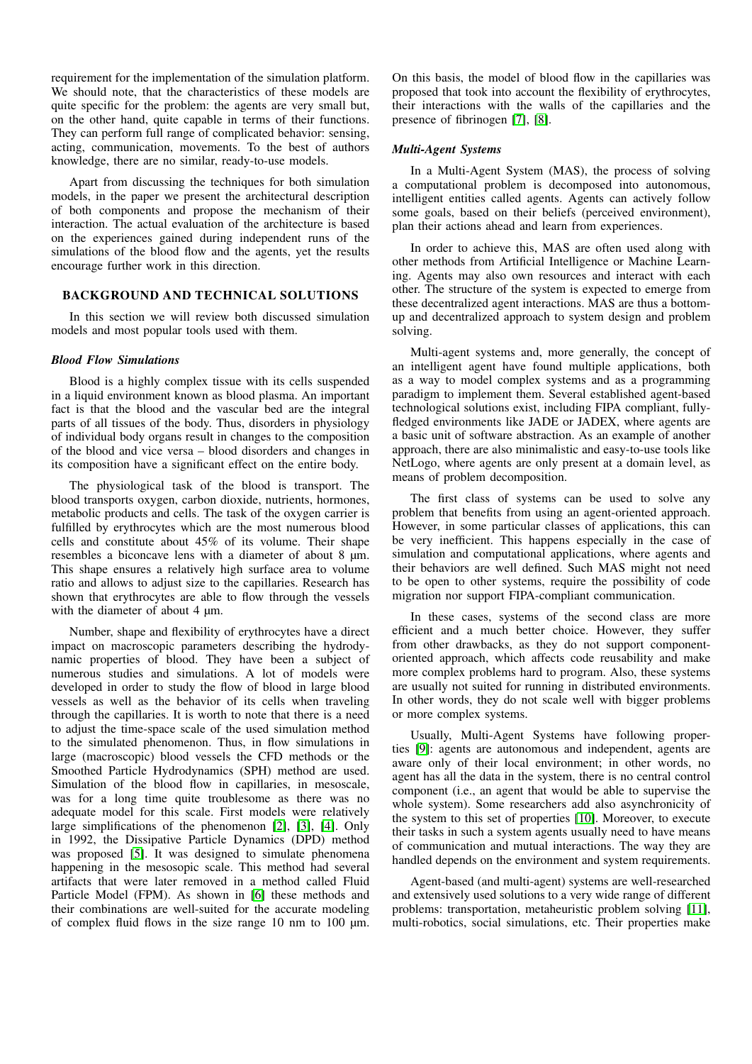requirement for the implementation of the simulation platform. We should note, that the characteristics of these models are quite specific for the problem: the agents are very small but, on the other hand, quite capable in terms of their functions. They can perform full range of complicated behavior: sensing, acting, communication, movements. To the best of authors knowledge, there are no similar, ready-to-use models.

Apart from discussing the techniques for both simulation models, in the paper we present the architectural description of both components and propose the mechanism of their interaction. The actual evaluation of the architecture is based on the experiences gained during independent runs of the simulations of the blood flow and the agents, yet the results encourage further work in this direction.

## BACKGROUND AND TECHNICAL SOLUTIONS

In this section we will review both discussed simulation models and most popular tools used with them.

#### *Blood Flow Simulations*

Blood is a highly complex tissue with its cells suspended in a liquid environment known as blood plasma. An important fact is that the blood and the vascular bed are the integral parts of all tissues of the body. Thus, disorders in physiology of individual body organs result in changes to the composition of the blood and vice versa – blood disorders and changes in its composition have a significant effect on the entire body.

The physiological task of the blood is transport. The blood transports oxygen, carbon dioxide, nutrients, hormones, metabolic products and cells. The task of the oxygen carrier is fulfilled by erythrocytes which are the most numerous blood cells and constitute about 45% of its volume. Their shape resembles a biconcave lens with a diameter of about 8  $\mu$ m. This shape ensures a relatively high surface area to volume ratio and allows to adjust size to the capillaries. Research has shown that erythrocytes are able to flow through the vessels with the diameter of about 4  $\mu$ m.

Number, shape and flexibility of erythrocytes have a direct impact on macroscopic parameters describing the hydrodynamic properties of blood. They have been a subject of numerous studies and simulations. A lot of models were developed in order to study the flow of blood in large blood vessels as well as the behavior of its cells when traveling through the capillaries. It is worth to note that there is a need to adjust the time-space scale of the used simulation method to the simulated phenomenon. Thus, in flow simulations in large (macroscopic) blood vessels the CFD methods or the Smoothed Particle Hydrodynamics (SPH) method are used. Simulation of the blood flow in capillaries, in mesoscale, was for a long time quite troublesome as there was no adequate model for this scale. First models were relatively large simplifications of the phenomenon [\[2\]](#page-6-1), [\[3\]](#page-6-2), [\[4\]](#page-6-3). Only in 1992, the Dissipative Particle Dynamics (DPD) method was proposed [\[5\]](#page-6-4). It was designed to simulate phenomena happening in the mesosopic scale. This method had several artifacts that were later removed in a method called Fluid Particle Model (FPM). As shown in [\[6\]](#page-6-5) these methods and their combinations are well-suited for the accurate modeling of complex fluid flows in the size range 10 nm to 100  $\mu$ m.

On this basis, the model of blood flow in the capillaries was proposed that took into account the flexibility of erythrocytes, their interactions with the walls of the capillaries and the presence of fibrinogen [\[7\]](#page-6-6), [\[8\]](#page-6-7).

#### *Multi-Agent Systems*

In a Multi-Agent System (MAS), the process of solving a computational problem is decomposed into autonomous, intelligent entities called agents. Agents can actively follow some goals, based on their beliefs (perceived environment), plan their actions ahead and learn from experiences.

In order to achieve this, MAS are often used along with other methods from Artificial Intelligence or Machine Learning. Agents may also own resources and interact with each other. The structure of the system is expected to emerge from these decentralized agent interactions. MAS are thus a bottomup and decentralized approach to system design and problem solving.

Multi-agent systems and, more generally, the concept of an intelligent agent have found multiple applications, both as a way to model complex systems and as a programming paradigm to implement them. Several established agent-based technological solutions exist, including FIPA compliant, fullyfledged environments like JADE or JADEX, where agents are a basic unit of software abstraction. As an example of another approach, there are also minimalistic and easy-to-use tools like NetLogo, where agents are only present at a domain level, as means of problem decomposition.

The first class of systems can be used to solve any problem that benefits from using an agent-oriented approach. However, in some particular classes of applications, this can be very inefficient. This happens especially in the case of simulation and computational applications, where agents and their behaviors are well defined. Such MAS might not need to be open to other systems, require the possibility of code migration nor support FIPA-compliant communication.

In these cases, systems of the second class are more efficient and a much better choice. However, they suffer from other drawbacks, as they do not support componentoriented approach, which affects code reusability and make more complex problems hard to program. Also, these systems are usually not suited for running in distributed environments. In other words, they do not scale well with bigger problems or more complex systems.

Usually, Multi-Agent Systems have following properties [\[9\]](#page-6-8): agents are autonomous and independent, agents are aware only of their local environment; in other words, no agent has all the data in the system, there is no central control component (i.e., an agent that would be able to supervise the whole system). Some researchers add also asynchronicity of the system to this set of properties [\[10\]](#page-6-9). Moreover, to execute their tasks in such a system agents usually need to have means of communication and mutual interactions. The way they are handled depends on the environment and system requirements.

Agent-based (and multi-agent) systems are well-researched and extensively used solutions to a very wide range of different problems: transportation, metaheuristic problem solving [\[11\]](#page-6-10), multi-robotics, social simulations, etc. Their properties make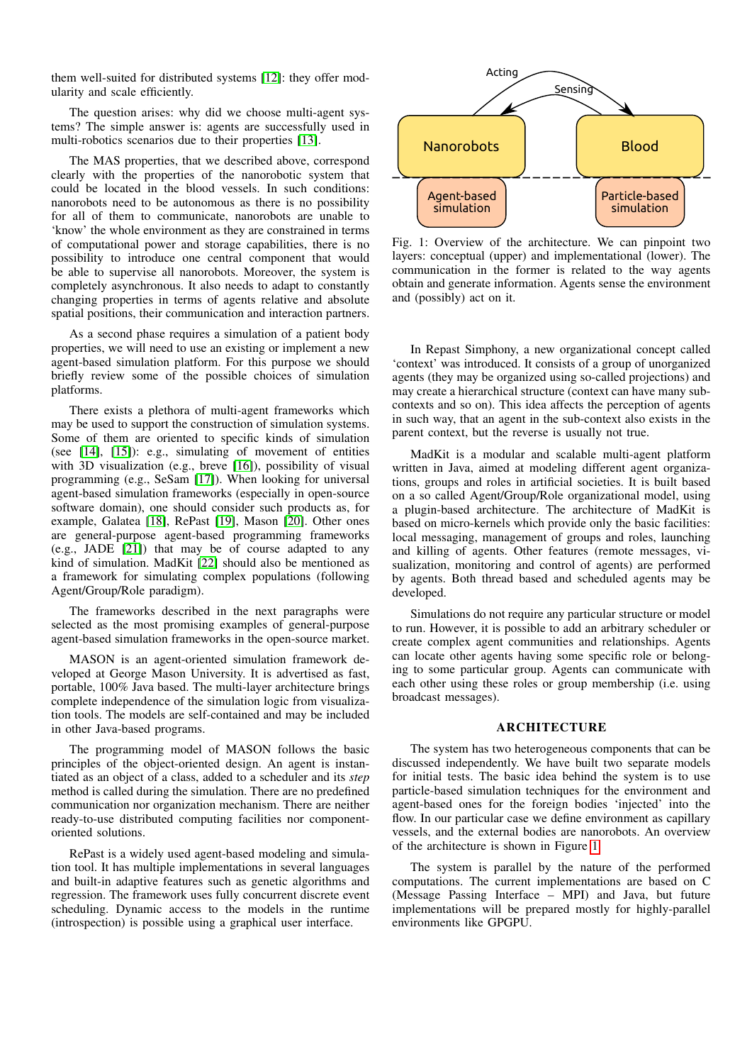them well-suited for distributed systems [\[12\]](#page-6-11): they offer modularity and scale efficiently.

The question arises: why did we choose multi-agent systems? The simple answer is: agents are successfully used in multi-robotics scenarios due to their properties [\[13\]](#page-6-12).

The MAS properties, that we described above, correspond clearly with the properties of the nanorobotic system that could be located in the blood vessels. In such conditions: nanorobots need to be autonomous as there is no possibility for all of them to communicate, nanorobots are unable to 'know' the whole environment as they are constrained in terms of computational power and storage capabilities, there is no possibility to introduce one central component that would be able to supervise all nanorobots. Moreover, the system is completely asynchronous. It also needs to adapt to constantly changing properties in terms of agents relative and absolute spatial positions, their communication and interaction partners.

As a second phase requires a simulation of a patient body properties, we will need to use an existing or implement a new agent-based simulation platform. For this purpose we should briefly review some of the possible choices of simulation platforms.

There exists a plethora of multi-agent frameworks which may be used to support the construction of simulation systems. Some of them are oriented to specific kinds of simulation (see  $[14]$ ,  $[15]$ ): e.g., simulating of movement of entities with 3D visualization (e.g., breve [\[16\]](#page-6-15)), possibility of visual programming (e.g., SeSam [\[17\]](#page-6-16)). When looking for universal agent-based simulation frameworks (especially in open-source software domain), one should consider such products as, for example, Galatea [\[18\]](#page-6-17), RePast [\[19\]](#page-6-18), Mason [\[20\]](#page-6-19). Other ones are general-purpose agent-based programming frameworks (e.g., JADE [\[21\]](#page-6-20)) that may be of course adapted to any kind of simulation. MadKit [\[22\]](#page-6-21) should also be mentioned as a framework for simulating complex populations (following Agent/Group/Role paradigm).

The frameworks described in the next paragraphs were selected as the most promising examples of general-purpose agent-based simulation frameworks in the open-source market.

MASON is an agent-oriented simulation framework developed at George Mason University. It is advertised as fast, portable, 100% Java based. The multi-layer architecture brings complete independence of the simulation logic from visualization tools. The models are self-contained and may be included in other Java-based programs.

The programming model of MASON follows the basic principles of the object-oriented design. An agent is instantiated as an object of a class, added to a scheduler and its *step* method is called during the simulation. There are no predefined communication nor organization mechanism. There are neither ready-to-use distributed computing facilities nor componentoriented solutions.

RePast is a widely used agent-based modeling and simulation tool. It has multiple implementations in several languages and built-in adaptive features such as genetic algorithms and regression. The framework uses fully concurrent discrete event scheduling. Dynamic access to the models in the runtime (introspection) is possible using a graphical user interface.

<span id="page-2-0"></span>

Fig. 1: Overview of the architecture. We can pinpoint two layers: conceptual (upper) and implementational (lower). The communication in the former is related to the way agents obtain and generate information. Agents sense the environment and (possibly) act on it.

In Repast Simphony, a new organizational concept called 'context' was introduced. It consists of a group of unorganized agents (they may be organized using so-called projections) and may create a hierarchical structure (context can have many subcontexts and so on). This idea affects the perception of agents in such way, that an agent in the sub-context also exists in the parent context, but the reverse is usually not true.

MadKit is a modular and scalable multi-agent platform written in Java, aimed at modeling different agent organizations, groups and roles in artificial societies. It is built based on a so called Agent/Group/Role organizational model, using a plugin-based architecture. The architecture of MadKit is based on micro-kernels which provide only the basic facilities: local messaging, management of groups and roles, launching and killing of agents. Other features (remote messages, visualization, monitoring and control of agents) are performed by agents. Both thread based and scheduled agents may be developed.

Simulations do not require any particular structure or model to run. However, it is possible to add an arbitrary scheduler or create complex agent communities and relationships. Agents can locate other agents having some specific role or belonging to some particular group. Agents can communicate with each other using these roles or group membership (i.e. using broadcast messages).

## ARCHITECTURE

The system has two heterogeneous components that can be discussed independently. We have built two separate models for initial tests. The basic idea behind the system is to use particle-based simulation techniques for the environment and agent-based ones for the foreign bodies 'injected' into the flow. In our particular case we define environment as capillary vessels, and the external bodies are nanorobots. An overview of the architecture is shown in Figure [1.](#page-2-0)

The system is parallel by the nature of the performed computations. The current implementations are based on C (Message Passing Interface – MPI) and Java, but future implementations will be prepared mostly for highly-parallel environments like GPGPU.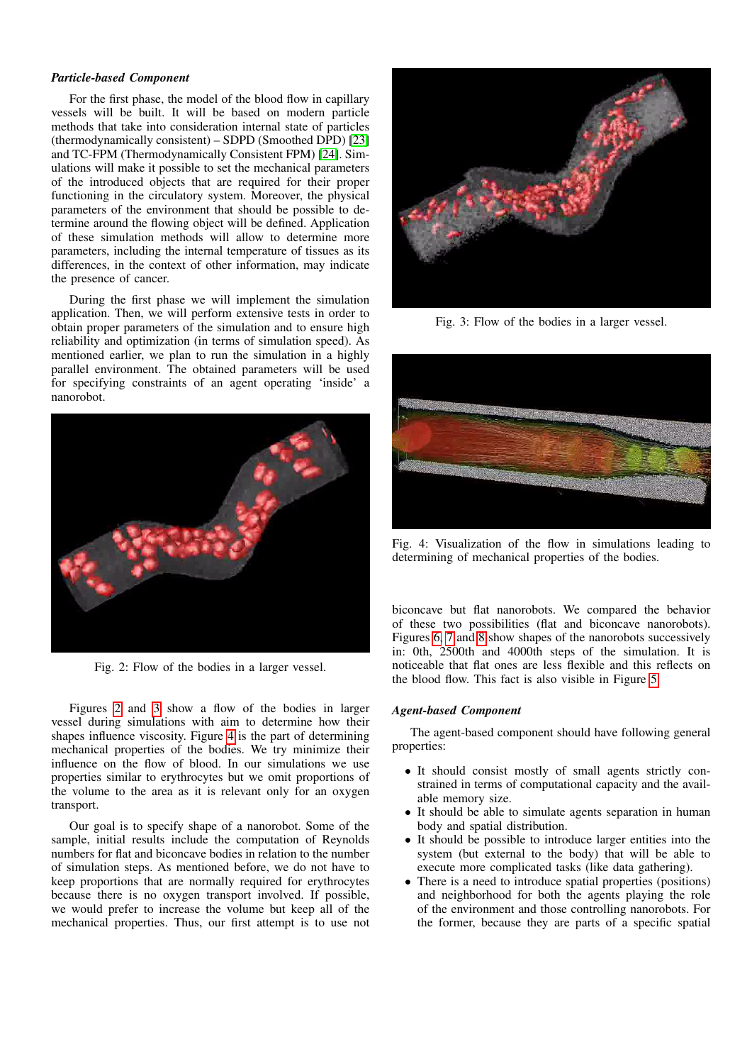### *Particle-based Component*

For the first phase, the model of the blood flow in capillary vessels will be built. It will be based on modern particle methods that take into consideration internal state of particles (thermodynamically consistent) – SDPD (Smoothed DPD) [\[23\]](#page-6-22) and TC-FPM (Thermodynamically Consistent FPM) [\[24\]](#page-6-23). Simulations will make it possible to set the mechanical parameters of the introduced objects that are required for their proper functioning in the circulatory system. Moreover, the physical parameters of the environment that should be possible to determine around the flowing object will be defined. Application of these simulation methods will allow to determine more parameters, including the internal temperature of tissues as its differences, in the context of other information, may indicate the presence of cancer.

During the first phase we will implement the simulation application. Then, we will perform extensive tests in order to obtain proper parameters of the simulation and to ensure high reliability and optimization (in terms of simulation speed). As mentioned earlier, we plan to run the simulation in a highly parallel environment. The obtained parameters will be used for specifying constraints of an agent operating 'inside' a nanorobot.

<span id="page-3-0"></span>

Fig. 2: Flow of the bodies in a larger vessel.

Figures [2](#page-3-0) and [3](#page-3-1) show a flow of the bodies in larger vessel during simulations with aim to determine how their shapes influence viscosity. Figure [4](#page-3-2) is the part of determining mechanical properties of the bodies. We try minimize their influence on the flow of blood. In our simulations we use properties similar to erythrocytes but we omit proportions of the volume to the area as it is relevant only for an oxygen transport.

Our goal is to specify shape of a nanorobot. Some of the sample, initial results include the computation of Reynolds numbers for flat and biconcave bodies in relation to the number of simulation steps. As mentioned before, we do not have to keep proportions that are normally required for erythrocytes because there is no oxygen transport involved. If possible, we would prefer to increase the volume but keep all of the mechanical properties. Thus, our first attempt is to use not

<span id="page-3-1"></span>

Fig. 3: Flow of the bodies in a larger vessel.

<span id="page-3-2"></span>

Fig. 4: Visualization of the flow in simulations leading to determining of mechanical properties of the bodies.

biconcave but flat nanorobots. We compared the behavior of these two possibilities (flat and biconcave nanorobots). Figures [6,](#page-4-0) [7](#page-4-1) and [8](#page-4-2) show shapes of the nanorobots successively in: 0th, 2500th and 4000th steps of the simulation. It is noticeable that flat ones are less flexible and this reflects on the blood flow. This fact is also visible in Figure [5.](#page-4-3)

## *Agent-based Component*

The agent-based component should have following general properties:

- It should consist mostly of small agents strictly constrained in terms of computational capacity and the available memory size.
- It should be able to simulate agents separation in human body and spatial distribution.
- It should be possible to introduce larger entities into the system (but external to the body) that will be able to execute more complicated tasks (like data gathering).
- There is a need to introduce spatial properties (positions) and neighborhood for both the agents playing the role of the environment and those controlling nanorobots. For the former, because they are parts of a specific spatial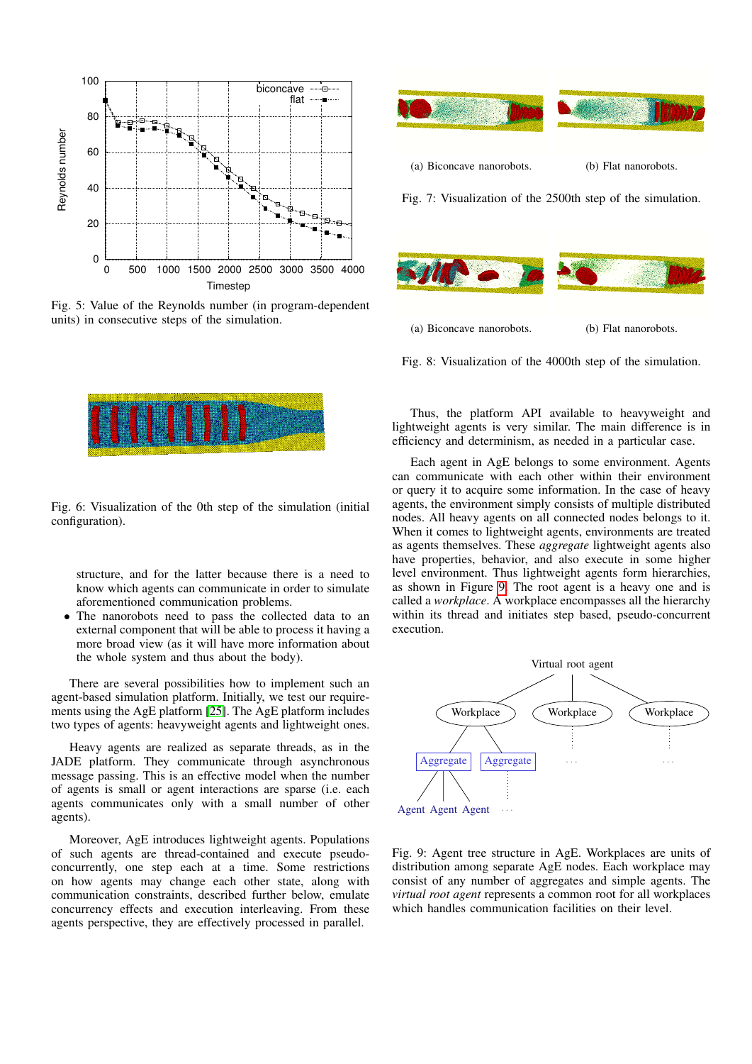<span id="page-4-3"></span>

<span id="page-4-0"></span>Fig. 5: Value of the Reynolds number (in program-dependent units) in consecutive steps of the simulation.



Fig. 6: Visualization of the 0th step of the simulation (initial configuration).

structure, and for the latter because there is a need to know which agents can communicate in order to simulate aforementioned communication problems.

The nanorobots need to pass the collected data to an external component that will be able to process it having a more broad view (as it will have more information about the whole system and thus about the body).

There are several possibilities how to implement such an agent-based simulation platform. Initially, we test our requirements using the AgE platform [\[25\]](#page-6-24). The AgE platform includes two types of agents: heavyweight agents and lightweight ones.

Heavy agents are realized as separate threads, as in the JADE platform. They communicate through asynchronous message passing. This is an effective model when the number of agents is small or agent interactions are sparse (i.e. each agents communicates only with a small number of other agents).

Moreover, AgE introduces lightweight agents. Populations of such agents are thread-contained and execute pseudoconcurrently, one step each at a time. Some restrictions on how agents may change each other state, along with communication constraints, described further below, emulate concurrency effects and execution interleaving. From these agents perspective, they are effectively processed in parallel.

<span id="page-4-1"></span>

<span id="page-4-2"></span>(a) Biconcave nanorobots. (b) Flat nanorobots.

Fig. 8: Visualization of the 4000th step of the simulation.

Thus, the platform API available to heavyweight and lightweight agents is very similar. The main difference is in efficiency and determinism, as needed in a particular case.

Each agent in AgE belongs to some environment. Agents can communicate with each other within their environment or query it to acquire some information. In the case of heavy agents, the environment simply consists of multiple distributed nodes. All heavy agents on all connected nodes belongs to it. When it comes to lightweight agents, environments are treated as agents themselves. These *aggregate* lightweight agents also have properties, behavior, and also execute in some higher level environment. Thus lightweight agents form hierarchies, as shown in Figure [9.](#page-4-4) The root agent is a heavy one and is called a *workplace*. A workplace encompasses all the hierarchy within its thread and initiates step based, pseudo-concurrent execution.

<span id="page-4-4"></span>

Fig. 9: Agent tree structure in AgE. Workplaces are units of distribution among separate AgE nodes. Each workplace may consist of any number of aggregates and simple agents. The *virtual root agent* represents a common root for all workplaces which handles communication facilities on their level.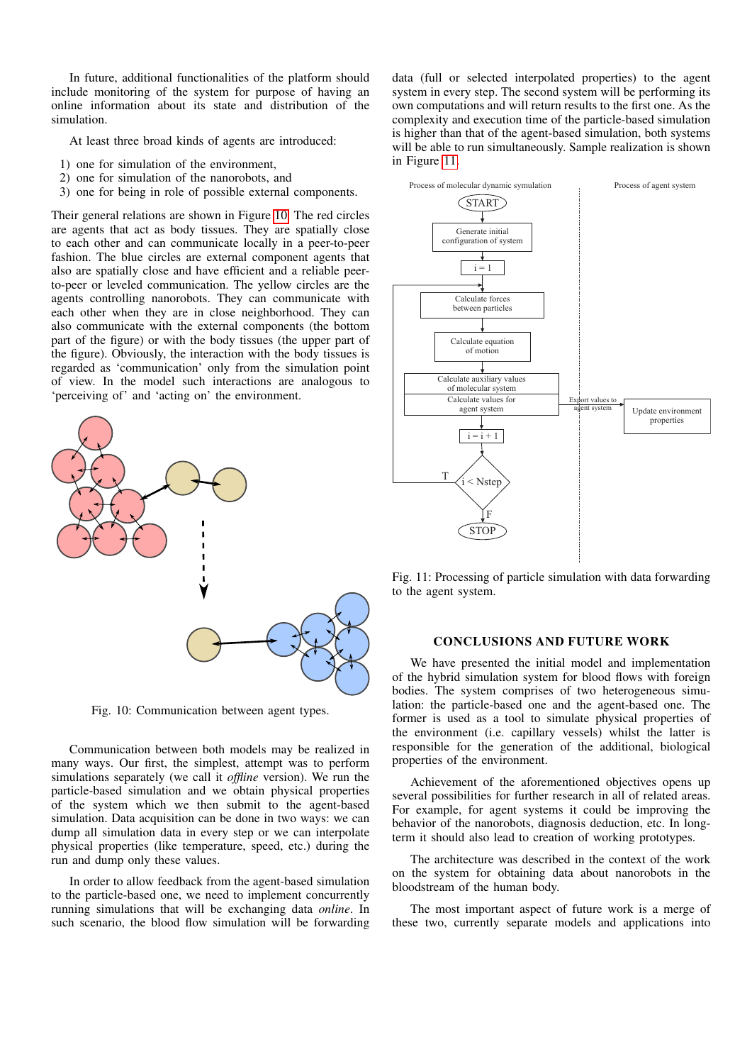In future, additional functionalities of the platform should include monitoring of the system for purpose of having an online information about its state and distribution of the simulation.

At least three broad kinds of agents are introduced:

- 1) one for simulation of the environment,
- 2) one for simulation of the nanorobots, and
- 3) one for being in role of possible external components.

Their general relations are shown in Figure [10.](#page-5-0) The red circles are agents that act as body tissues. They are spatially close to each other and can communicate locally in a peer-to-peer fashion. The blue circles are external component agents that also are spatially close and have efficient and a reliable peerto-peer or leveled communication. The yellow circles are the agents controlling nanorobots. They can communicate with each other when they are in close neighborhood. They can also communicate with the external components (the bottom part of the figure) or with the body tissues (the upper part of the figure). Obviously, the interaction with the body tissues is regarded as 'communication' only from the simulation point of view. In the model such interactions are analogous to 'perceiving of' and 'acting on' the environment.

<span id="page-5-0"></span>

Fig. 10: Communication between agent types.

Communication between both models may be realized in many ways. Our first, the simplest, attempt was to perform simulations separately (we call it *offline* version). We run the particle-based simulation and we obtain physical properties of the system which we then submit to the agent-based simulation. Data acquisition can be done in two ways: we can dump all simulation data in every step or we can interpolate physical properties (like temperature, speed, etc.) during the run and dump only these values.

In order to allow feedback from the agent-based simulation to the particle-based one, we need to implement concurrently running simulations that will be exchanging data *online*. In such scenario, the blood flow simulation will be forwarding data (full or selected interpolated properties) to the agent system in every step. The second system will be performing its own computations and will return results to the first one. As the complexity and execution time of the particle-based simulation is higher than that of the agent-based simulation, both systems will be able to run simultaneously. Sample realization is shown in Figure [11.](#page-5-1)

<span id="page-5-1"></span>

Fig. 11: Processing of particle simulation with data forwarding to the agent system.

## CONCLUSIONS AND FUTURE WORK

We have presented the initial model and implementation of the hybrid simulation system for blood flows with foreign bodies. The system comprises of two heterogeneous simulation: the particle-based one and the agent-based one. The former is used as a tool to simulate physical properties of the environment (i.e. capillary vessels) whilst the latter is responsible for the generation of the additional, biological properties of the environment.

Achievement of the aforementioned objectives opens up several possibilities for further research in all of related areas. For example, for agent systems it could be improving the behavior of the nanorobots, diagnosis deduction, etc. In longterm it should also lead to creation of working prototypes.

The architecture was described in the context of the work on the system for obtaining data about nanorobots in the bloodstream of the human body.

The most important aspect of future work is a merge of these two, currently separate models and applications into